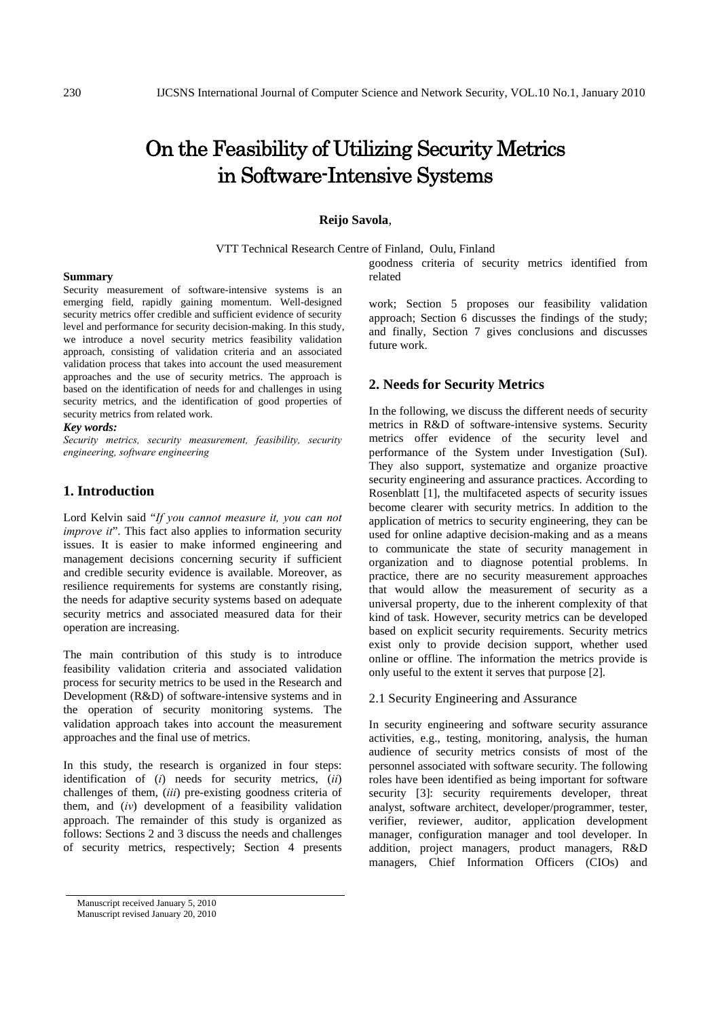# On the Feasibility of Utilizing Security Metrics in Software-Intensive Systems

# **Reijo Savola**,

VTT Technical Research Centre of Finland, Oulu, Finland

goodness criteria of security metrics identified from related

#### **Summary**

Security measurement of software-intensive systems is an emerging field, rapidly gaining momentum. Well-designed security metrics offer credible and sufficient evidence of security level and performance for security decision-making. In this study, we introduce a novel security metrics feasibility validation approach, consisting of validation criteria and an associated validation process that takes into account the used measurement approaches and the use of security metrics. The approach is based on the identification of needs for and challenges in using security metrics, and the identification of good properties of security metrics from related work.

#### *Key words:*

*Security metrics, security measurement, feasibility, security engineering, software engineering* 

# **1. Introduction**

Lord Kelvin said "*If you cannot measure it, you can not improve it*". This fact also applies to information security issues. It is easier to make informed engineering and management decisions concerning security if sufficient and credible security evidence is available. Moreover, as resilience requirements for systems are constantly rising, the needs for adaptive security systems based on adequate security metrics and associated measured data for their operation are increasing.

The main contribution of this study is to introduce feasibility validation criteria and associated validation process for security metrics to be used in the Research and Development (R&D) of software-intensive systems and in the operation of security monitoring systems. The validation approach takes into account the measurement approaches and the final use of metrics.

In this study, the research is organized in four steps: identification of (*i*) needs for security metrics, (*ii*) challenges of them, (*iii*) pre-existing goodness criteria of them, and (*iv*) development of a feasibility validation approach. The remainder of this study is organized as follows: Sections 2 and 3 discuss the needs and challenges of security metrics, respectively; Section 4 presents

Manuscript received January 5, 2010 Manuscript revised January 20, 2010

work; Section 5 proposes our feasibility validation approach; Section 6 discusses the findings of the study; and finally, Section 7 gives conclusions and discusses future work.

## **2. Needs for Security Metrics**

In the following, we discuss the different needs of security metrics in R&D of software-intensive systems. Security metrics offer evidence of the security level and performance of the System under Investigation (SuI). They also support, systematize and organize proactive security engineering and assurance practices. According to Rosenblatt [1], the multifaceted aspects of security issues become clearer with security metrics. In addition to the application of metrics to security engineering, they can be used for online adaptive decision-making and as a means to communicate the state of security management in organization and to diagnose potential problems. In practice, there are no security measurement approaches that would allow the measurement of security as a universal property, due to the inherent complexity of that kind of task. However, security metrics can be developed based on explicit security requirements. Security metrics exist only to provide decision support, whether used online or offline. The information the metrics provide is only useful to the extent it serves that purpose [2].

## 2.1 Security Engineering and Assurance

In security engineering and software security assurance activities, e.g., testing, monitoring, analysis, the human audience of security metrics consists of most of the personnel associated with software security. The following roles have been identified as being important for software security [3]: security requirements developer, threat analyst, software architect, developer/programmer, tester, verifier, reviewer, auditor, application development manager, configuration manager and tool developer. In addition, project managers, product managers, R&D managers, Chief Information Officers (CIOs) and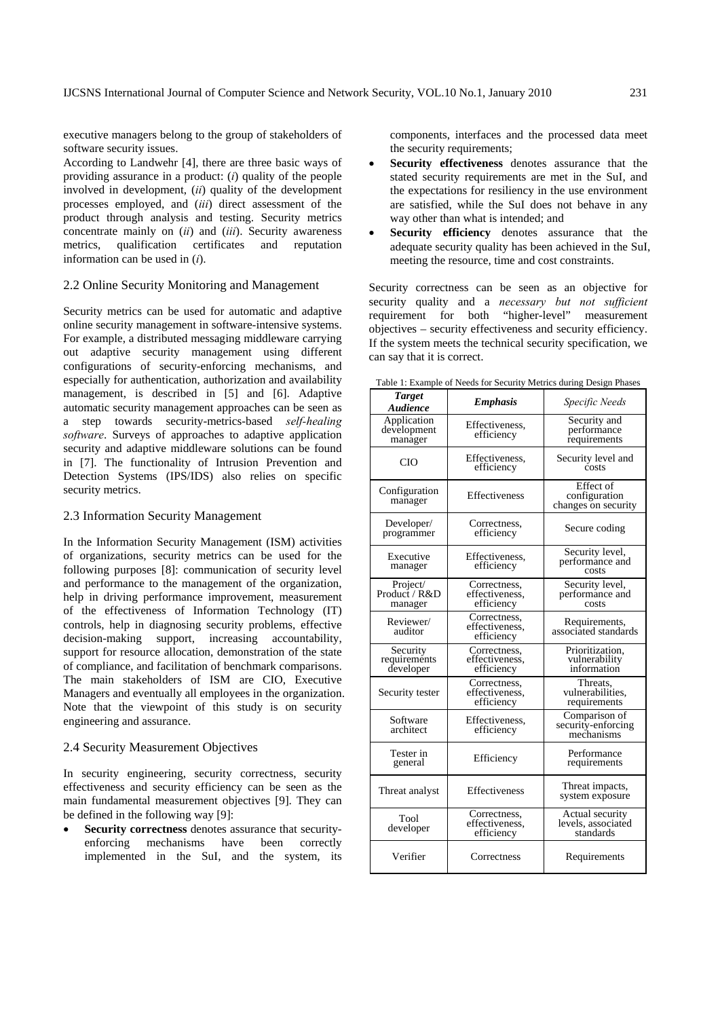executive managers belong to the group of stakeholders of software security issues.

According to Landwehr [4], there are three basic ways of providing assurance in a product: (*i*) quality of the people involved in development, (*ii*) quality of the development processes employed, and (*iii*) direct assessment of the product through analysis and testing. Security metrics concentrate mainly on (*ii*) and (*iii*). Security awareness metrics, qualification certificates and reputation information can be used in (*i*).

## 2.2 Online Security Monitoring and Management

Security metrics can be used for automatic and adaptive online security management in software-intensive systems. For example, a distributed messaging middleware carrying out adaptive security management using different configurations of security-enforcing mechanisms, and especially for authentication, authorization and availability management, is described in [5] and [6]. Adaptive automatic security management approaches can be seen as a step towards security-metrics-based *self-healing software*. Surveys of approaches to adaptive application security and adaptive middleware solutions can be found in [7]. The functionality of Intrusion Prevention and Detection Systems (IPS/IDS) also relies on specific security metrics.

## 2.3 Information Security Management

In the Information Security Management (ISM) activities of organizations, security metrics can be used for the following purposes [8]: communication of security level and performance to the management of the organization, help in driving performance improvement, measurement of the effectiveness of Information Technology (IT) controls, help in diagnosing security problems, effective decision-making support, increasing accountability, support for resource allocation, demonstration of the state of compliance, and facilitation of benchmark comparisons. The main stakeholders of ISM are CIO, Executive Managers and eventually all employees in the organization. Note that the viewpoint of this study is on security engineering and assurance.

## 2.4 Security Measurement Objectives

In security engineering, security correctness, security effectiveness and security efficiency can be seen as the main fundamental measurement objectives [9]. They can be defined in the following way [9]:

**Security correctness** denotes assurance that securityenforcing mechanisms have been correctly implemented in the SuI, and the system, its components, interfaces and the processed data meet the security requirements;

- **Security effectiveness** denotes assurance that the stated security requirements are met in the SuI, and the expectations for resiliency in the use environment are satisfied, while the SuI does not behave in any way other than what is intended; and
- **Security efficiency** denotes assurance that the adequate security quality has been achieved in the SuI, meeting the resource, time and cost constraints.

Security correctness can be seen as an objective for security quality and a *necessary but not sufficient* requirement for both "higher-level" measurement objectives – security effectiveness and security efficiency. If the system meets the technical security specification, we can say that it is correct.

| <b>Target</b><br><b>Audience</b>      | <b>Emphasis</b>                              | Specific Needs                                     |
|---------------------------------------|----------------------------------------------|----------------------------------------------------|
| Application<br>development<br>manager | Effectiveness,<br>efficiency                 | Security and<br>performance<br>requirements        |
| CIO                                   | Effectiveness,<br>efficiency                 | Security level and<br>costs                        |
| Configuration<br>manager              | Effectiveness                                | Effect of<br>configuration<br>changes on security  |
| Developer/<br>programmer              | Correctness,<br>efficiency                   | Secure coding                                      |
| Executive<br>manager                  | Effectiveness,<br>efficiency                 | Security level,<br>performance and<br>costs        |
| Project/<br>Product / R&D<br>manager  | Correctness,<br>effectiveness.<br>efficiency | Security level,<br>performance and<br>costs        |
| Reviewer/<br>auditor                  | Correctness,<br>effectiveness.<br>efficiency | Requirements,<br>associated standards              |
| Security<br>requirements<br>developer | Correctness,<br>effectiveness.<br>efficiency | Prioritization,<br>vulnerability<br>information    |
| Security tester                       | Correctness,<br>effectiveness.<br>efficiency | Threats,<br>vulnerabilities,<br>requirements       |
| Software<br>architect                 | Effectiveness,<br>efficiency                 | Comparison of<br>security-enforcing<br>mechanisms  |
| Tester in<br>general                  | Efficiency                                   | Performance<br>requirements                        |
| Threat analyst                        | Effectiveness                                | Threat impacts,<br>system exposure                 |
| Tool<br>developer                     | Correctness,<br>effectiveness,<br>efficiency | Actual security<br>levels, associated<br>standards |
| Verifier                              | Correctness                                  | Requirements                                       |

Table 1: Example of Needs for Security Metrics during Design Phases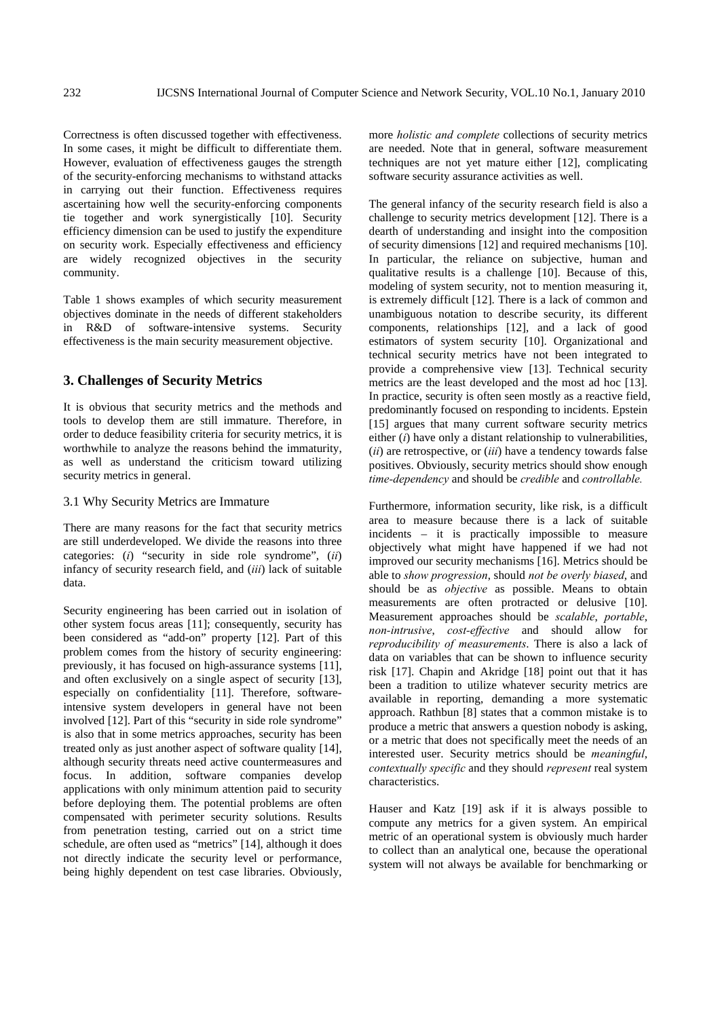Correctness is often discussed together with effectiveness. In some cases, it might be difficult to differentiate them. However, evaluation of effectiveness gauges the strength of the security-enforcing mechanisms to withstand attacks in carrying out their function. Effectiveness requires ascertaining how well the security-enforcing components tie together and work synergistically [10]. Security efficiency dimension can be used to justify the expenditure on security work. Especially effectiveness and efficiency are widely recognized objectives in the security community.

Table 1 shows examples of which security measurement objectives dominate in the needs of different stakeholders in R&D of software-intensive systems. Security effectiveness is the main security measurement objective.

# **3. Challenges of Security Metrics**

It is obvious that security metrics and the methods and tools to develop them are still immature. Therefore, in order to deduce feasibility criteria for security metrics, it is worthwhile to analyze the reasons behind the immaturity, as well as understand the criticism toward utilizing security metrics in general.

#### 3.1 Why Security Metrics are Immature

There are many reasons for the fact that security metrics are still underdeveloped. We divide the reasons into three categories: (*i*) "security in side role syndrome", (*ii*) infancy of security research field, and (*iii*) lack of suitable data.

Security engineering has been carried out in isolation of other system focus areas [11]; consequently, security has been considered as "add-on" property [12]. Part of this problem comes from the history of security engineering: previously, it has focused on high-assurance systems [11], and often exclusively on a single aspect of security [13], especially on confidentiality [11]. Therefore, softwareintensive system developers in general have not been involved [12]. Part of this "security in side role syndrome" is also that in some metrics approaches, security has been treated only as just another aspect of software quality [14], although security threats need active countermeasures and focus. In addition, software companies develop applications with only minimum attention paid to security before deploying them. The potential problems are often compensated with perimeter security solutions. Results from penetration testing, carried out on a strict time schedule, are often used as "metrics" [14], although it does not directly indicate the security level or performance, being highly dependent on test case libraries. Obviously,

more *holistic and complete* collections of security metrics are needed. Note that in general, software measurement techniques are not yet mature either [12], complicating software security assurance activities as well.

The general infancy of the security research field is also a challenge to security metrics development [12]. There is a dearth of understanding and insight into the composition of security dimensions [12] and required mechanisms [10]. In particular, the reliance on subjective, human and qualitative results is a challenge [10]. Because of this, modeling of system security, not to mention measuring it, is extremely difficult [12]. There is a lack of common and unambiguous notation to describe security, its different components, relationships [12], and a lack of good estimators of system security [10]. Organizational and technical security metrics have not been integrated to provide a comprehensive view [13]. Technical security metrics are the least developed and the most ad hoc [13]. In practice, security is often seen mostly as a reactive field, predominantly focused on responding to incidents. Epstein [15] argues that many current software security metrics either (*i*) have only a distant relationship to vulnerabilities, (*ii*) are retrospective, or (*iii*) have a tendency towards false positives. Obviously, security metrics should show enough *time-dependency* and should be *credible* and *controllable.*

Furthermore, information security, like risk, is a difficult area to measure because there is a lack of suitable incidents – it is practically impossible to measure objectively what might have happened if we had not improved our security mechanisms [16]. Metrics should be able to *show progression*, should *not be overly biased*, and should be as *objective* as possible. Means to obtain measurements are often protracted or delusive [10]. Measurement approaches should be *scalable*, *portable*, *non-intrusive*, *cost-effective* and should allow for *reproducibility of measurements*. There is also a lack of data on variables that can be shown to influence security risk [17]. Chapin and Akridge [18] point out that it has been a tradition to utilize whatever security metrics are available in reporting, demanding a more systematic approach. Rathbun [8] states that a common mistake is to produce a metric that answers a question nobody is asking, or a metric that does not specifically meet the needs of an interested user. Security metrics should be *meaningful*, *contextually specific* and they should *represent* real system characteristics.

Hauser and Katz [19] ask if it is always possible to compute any metrics for a given system. An empirical metric of an operational system is obviously much harder to collect than an analytical one, because the operational system will not always be available for benchmarking or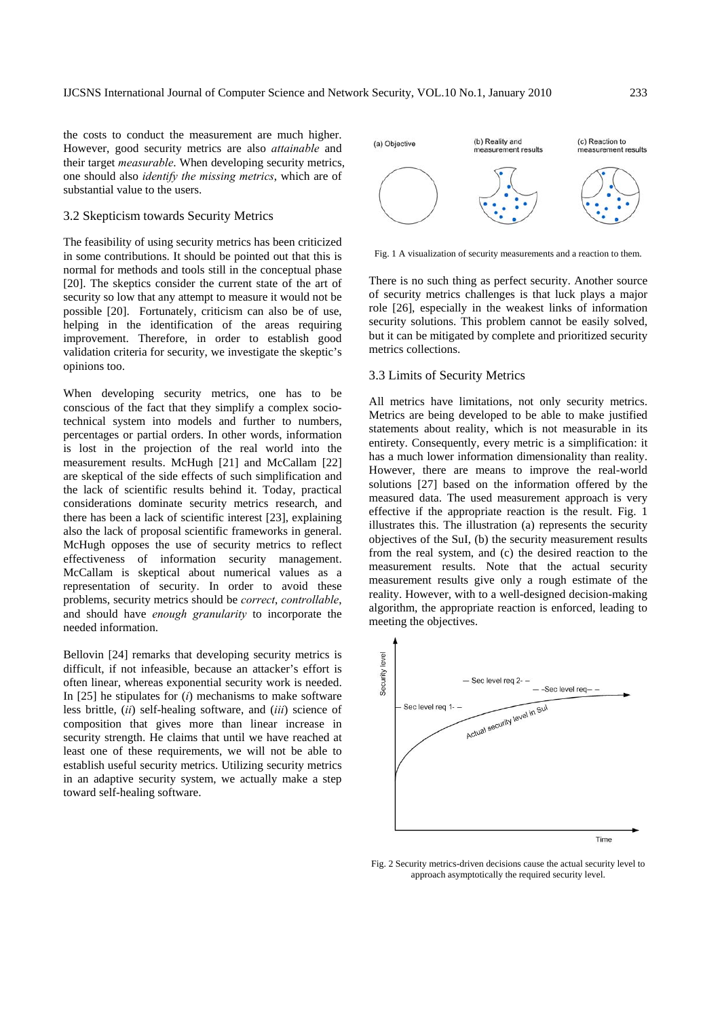the costs to conduct the measurement are much higher. However, good security metrics are also *attainable* and their target *measurable*. When developing security metrics, one should also *identify the missing metrics*, which are of substantial value to the users.

#### 3.2 Skepticism towards Security Metrics

The feasibility of using security metrics has been criticized in some contributions. It should be pointed out that this is normal for methods and tools still in the conceptual phase [20]. The skeptics consider the current state of the art of security so low that any attempt to measure it would not be possible [20]. Fortunately, criticism can also be of use, helping in the identification of the areas requiring improvement. Therefore, in order to establish good validation criteria for security, we investigate the skeptic's opinions too.

When developing security metrics, one has to be conscious of the fact that they simplify a complex sociotechnical system into models and further to numbers, percentages or partial orders. In other words, information is lost in the projection of the real world into the measurement results. McHugh [21] and McCallam [22] are skeptical of the side effects of such simplification and the lack of scientific results behind it. Today, practical considerations dominate security metrics research, and there has been a lack of scientific interest [23], explaining also the lack of proposal scientific frameworks in general. McHugh opposes the use of security metrics to reflect effectiveness of information security management. McCallam is skeptical about numerical values as a representation of security. In order to avoid these problems, security metrics should be *correct*, *controllable*, and should have *enough granularity* to incorporate the needed information.

Bellovin [24] remarks that developing security metrics is difficult, if not infeasible, because an attacker's effort is often linear, whereas exponential security work is needed. In [25] he stipulates for (*i*) mechanisms to make software less brittle, (*ii*) self-healing software, and (*iii*) science of composition that gives more than linear increase in security strength. He claims that until we have reached at least one of these requirements, we will not be able to establish useful security metrics. Utilizing security metrics in an adaptive security system, we actually make a step toward self-healing software.



Fig. 1 A visualization of security measurements and a reaction to them.

There is no such thing as perfect security. Another source of security metrics challenges is that luck plays a major role [26], especially in the weakest links of information security solutions. This problem cannot be easily solved, but it can be mitigated by complete and prioritized security metrics collections.

## 3.3 Limits of Security Metrics

All metrics have limitations, not only security metrics. Metrics are being developed to be able to make justified statements about reality, which is not measurable in its entirety. Consequently, every metric is a simplification: it has a much lower information dimensionality than reality. However, there are means to improve the real-world solutions [27] based on the information offered by the measured data. The used measurement approach is very effective if the appropriate reaction is the result. Fig. 1 illustrates this. The illustration (a) represents the security objectives of the SuI, (b) the security measurement results from the real system, and (c) the desired reaction to the measurement results. Note that the actual security measurement results give only a rough estimate of the reality. However, with to a well-designed decision-making algorithm, the appropriate reaction is enforced, leading to meeting the objectives.



Fig. 2 Security metrics-driven decisions cause the actual security level to approach asymptotically the required security level.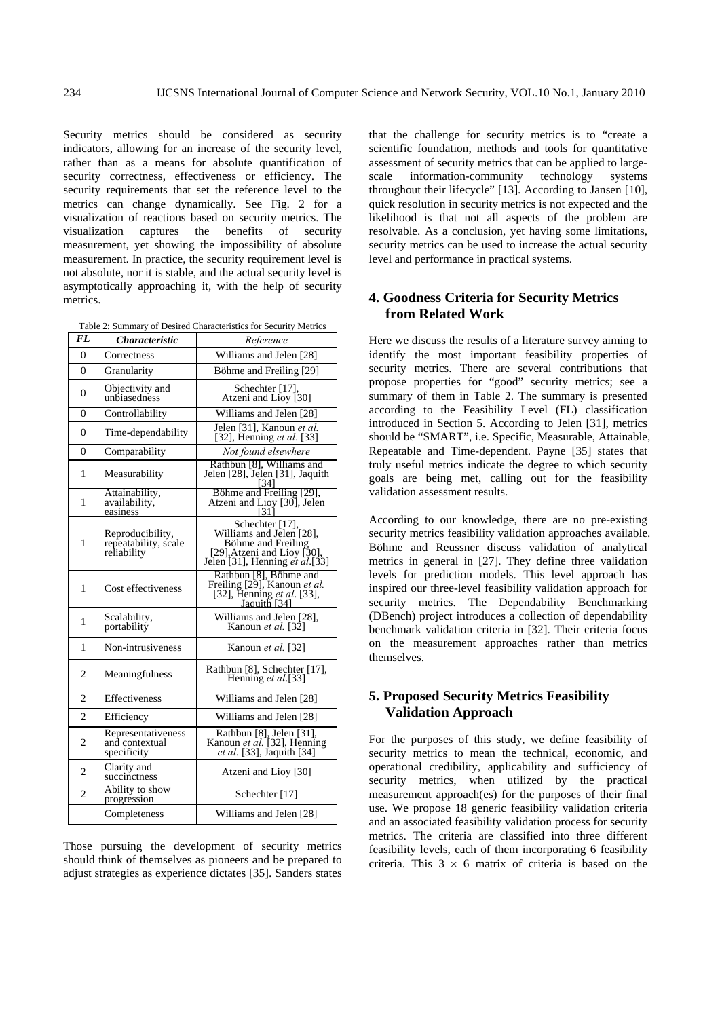Security metrics should be considered as security indicators, allowing for an increase of the security level, rather than as a means for absolute quantification of security correctness, effectiveness or efficiency. The security requirements that set the reference level to the metrics can change dynamically. See Fig. 2 for a visualization of reactions based on security metrics. The visualization captures the benefits of security measurement, yet showing the impossibility of absolute measurement. In practice, the security requirement level is not absolute, nor it is stable, and the actual security level is asymptotically approaching it, with the help of security metrics.

Table 2: Summary of Desired Characteristics for Security Metrics

| FL             | Characteristic                                          | Reference                                                                                                                                  |
|----------------|---------------------------------------------------------|--------------------------------------------------------------------------------------------------------------------------------------------|
| 0              | Correctness                                             | Williams and Jelen [28]                                                                                                                    |
| $\Omega$       | Granularity                                             | Böhme and Freiling [29]                                                                                                                    |
| $\Omega$       | Objectivity and<br>unbiasedness                         | Schechter [17],<br>Atzeni and Lioy [30]                                                                                                    |
| $\Omega$       | Controllability                                         | Williams and Jelen [28]                                                                                                                    |
| $\Omega$       | Time-dependability                                      | Jelen [31], Kanoun et al.<br>[32], Henning <i>et al.</i> [33]                                                                              |
| $\Omega$       | Comparability                                           | Not found elsewhere                                                                                                                        |
| 1              | Measurability                                           | Rathbun [8], Williams and<br>Jelen [28], Jelen [31], Jaquith<br>I341                                                                       |
| 1              | Attainability,<br>availability,<br>easiness             | Böhme and Freiling [29],<br>Atzeni and Lioy [30], Jelen<br>[31                                                                             |
| 1              | Reproducibility,<br>repeatability, scale<br>reliability | Schechter [17],<br>Williams and Jelen [28],<br>Böhme and Freiling<br>[29], Atzeni and Lioy [30].<br>Jelen [31], Henning <i>et al.</i> [33] |
| 1              | Cost effectiveness                                      | Rathbun [8], Böhme and<br>Freiling [29], Kanoun et al.<br>[32], Henning et al. [33],<br>Jaquith [34]                                       |
| 1              | Scalability,<br>portability                             | Williams and Jelen [28],<br>Kanoun <i>et al.</i> [32]                                                                                      |
| 1              | Non-intrusiveness                                       | Kanoun et al. [32]                                                                                                                         |
| 2              | Meaningfulness                                          | Rathbun [8], Schechter [17],<br>Henning et al.[33]                                                                                         |
| $\overline{2}$ | <b>Effectiveness</b>                                    | Williams and Jelen [28]                                                                                                                    |
| 2              | Efficiency                                              | Williams and Jelen [28]                                                                                                                    |
| 2              | Representativeness<br>and contextual<br>specificity     | Rathbun [8], Jelen [31],<br>Kanoun et al. [32], Henning<br>et al. [33], Jaquith [34]                                                       |
| $\overline{c}$ | Clarity and<br>succinctness                             | Atzeni and Lioy [30]                                                                                                                       |
| 2              | Ability to show<br>progression                          | Schechter [17]                                                                                                                             |
|                | Completeness                                            | Williams and Jelen [28]                                                                                                                    |

Those pursuing the development of security metrics should think of themselves as pioneers and be prepared to adjust strategies as experience dictates [35]. Sanders states that the challenge for security metrics is to "create a scientific foundation, methods and tools for quantitative assessment of security metrics that can be applied to largescale information-community technology systems throughout their lifecycle" [13]. According to Jansen [10], quick resolution in security metrics is not expected and the likelihood is that not all aspects of the problem are resolvable. As a conclusion, yet having some limitations, security metrics can be used to increase the actual security level and performance in practical systems.

# **4. Goodness Criteria for Security Metrics from Related Work**

Here we discuss the results of a literature survey aiming to identify the most important feasibility properties of security metrics. There are several contributions that propose properties for "good" security metrics; see a summary of them in Table 2. The summary is presented according to the Feasibility Level (FL) classification introduced in Section 5. According to Jelen [31], metrics should be "SMART", i.e. Specific, Measurable, Attainable, Repeatable and Time-dependent. Payne [35] states that truly useful metrics indicate the degree to which security goals are being met, calling out for the feasibility validation assessment results.

According to our knowledge, there are no pre-existing security metrics feasibility validation approaches available. Böhme and Reussner discuss validation of analytical metrics in general in [27]. They define three validation levels for prediction models. This level approach has inspired our three-level feasibility validation approach for security metrics. The Dependability Benchmarking (DBench) project introduces a collection of dependability benchmark validation criteria in [32]. Their criteria focus on the measurement approaches rather than metrics themselves.

# **5. Proposed Security Metrics Feasibility Validation Approach**

For the purposes of this study, we define feasibility of security metrics to mean the technical, economic, and operational credibility, applicability and sufficiency of security metrics, when utilized by the practical measurement approach(es) for the purposes of their final use. We propose 18 generic feasibility validation criteria and an associated feasibility validation process for security metrics. The criteria are classified into three different feasibility levels, each of them incorporating 6 feasibility criteria. This  $3 \times 6$  matrix of criteria is based on the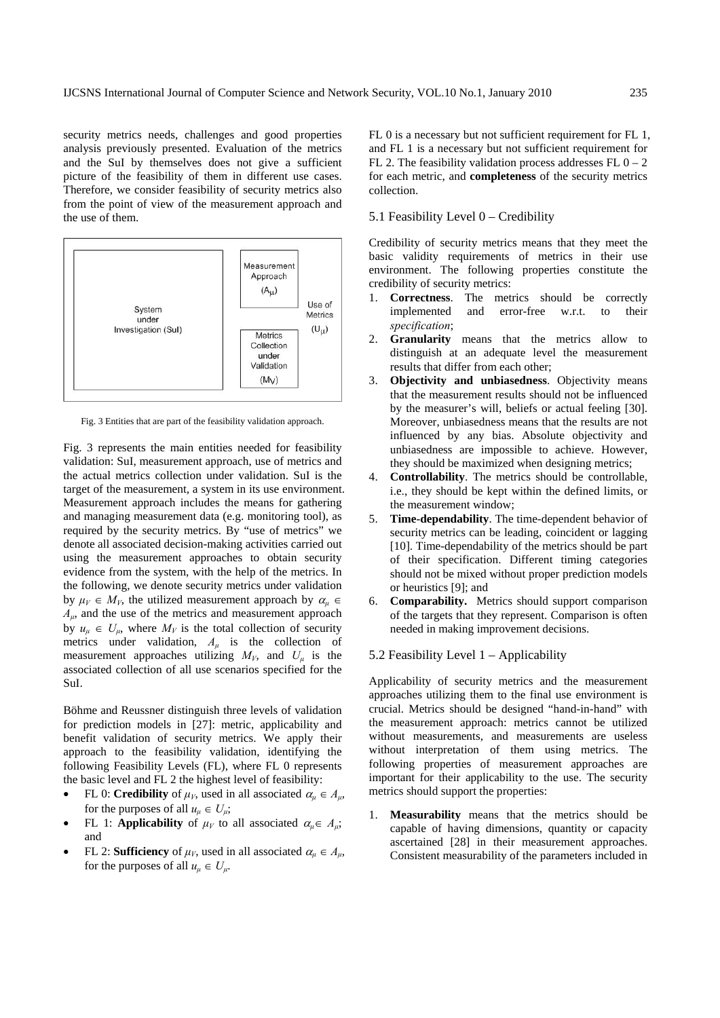security metrics needs, challenges and good properties analysis previously presented. Evaluation of the metrics and the SuI by themselves does not give a sufficient picture of the feasibility of them in different use cases. Therefore, we consider feasibility of security metrics also from the point of view of the measurement approach and the use of them.



Fig. 3 Entities that are part of the feasibility validation approach.

Fig. 3 represents the main entities needed for feasibility validation: SuI, measurement approach, use of metrics and the actual metrics collection under validation. SuI is the target of the measurement, a system in its use environment. Measurement approach includes the means for gathering and managing measurement data (e.g. monitoring tool), as required by the security metrics. By "use of metrics" we denote all associated decision-making activities carried out using the measurement approaches to obtain security evidence from the system, with the help of the metrics. In the following, we denote security metrics under validation by  $\mu_V \in M_V$ , the utilized measurement approach by  $\alpha_u \in$ *Aμ*, and the use of the metrics and measurement approach by  $u_{\mu} \in U_{\mu}$ , where  $M_V$  is the total collection of security metrics under validation,  $A_\mu$  is the collection of measurement approaches utilizing  $M_V$ , and  $U_\mu$  is the associated collection of all use scenarios specified for the SuI.

Böhme and Reussner distinguish three levels of validation for prediction models in [27]: metric, applicability and benefit validation of security metrics. We apply their approach to the feasibility validation, identifying the following Feasibility Levels (FL), where FL 0 represents the basic level and FL 2 the highest level of feasibility:

- FL 0: **Credibility** of  $\mu_V$ , used in all associated  $\alpha_u \in A_u$ , for the purposes of all  $u_{\mu} \in U_{\mu}$ ;
- **FL** 1: **Applicability** of  $\mu_V$  to all associated  $\alpha_u \in A_u$ ; and
- FL 2: **Sufficiency** of  $\mu_V$ , used in all associated  $\alpha_u \in A_u$ , for the purposes of all  $u_u \in U_u$ .

FL 0 is a necessary but not sufficient requirement for FL 1, and FL 1 is a necessary but not sufficient requirement for FL 2. The feasibility validation process addresses FL  $0 - 2$ for each metric, and **completeness** of the security metrics collection.

#### 5.1 Feasibility Level 0 – Credibility

Credibility of security metrics means that they meet the basic validity requirements of metrics in their use environment. The following properties constitute the credibility of security metrics:

- 1. **Correctness**. The metrics should be correctly implemented and error-free w.r.t. to their *specification*;
- 2. **Granularity** means that the metrics allow to distinguish at an adequate level the measurement results that differ from each other;
- 3. **Objectivity and unbiasedness**. Objectivity means that the measurement results should not be influenced by the measurer's will, beliefs or actual feeling [30]. Moreover, unbiasedness means that the results are not influenced by any bias. Absolute objectivity and unbiasedness are impossible to achieve. However, they should be maximized when designing metrics;
- 4. **Controllability**. The metrics should be controllable, i.e., they should be kept within the defined limits, or the measurement window;
- 5. **Time-dependability**. The time-dependent behavior of security metrics can be leading, coincident or lagging [10]. Time-dependability of the metrics should be part of their specification. Different timing categories should not be mixed without proper prediction models or heuristics [9]; and
- 6. **Comparability.** Metrics should support comparison of the targets that they represent. Comparison is often needed in making improvement decisions.
- 5.2 Feasibility Level 1 Applicability

Applicability of security metrics and the measurement approaches utilizing them to the final use environment is crucial. Metrics should be designed "hand-in-hand" with the measurement approach: metrics cannot be utilized without measurements, and measurements are useless without interpretation of them using metrics. The following properties of measurement approaches are important for their applicability to the use. The security metrics should support the properties:

1. **Measurability** means that the metrics should be capable of having dimensions, quantity or capacity ascertained [28] in their measurement approaches. Consistent measurability of the parameters included in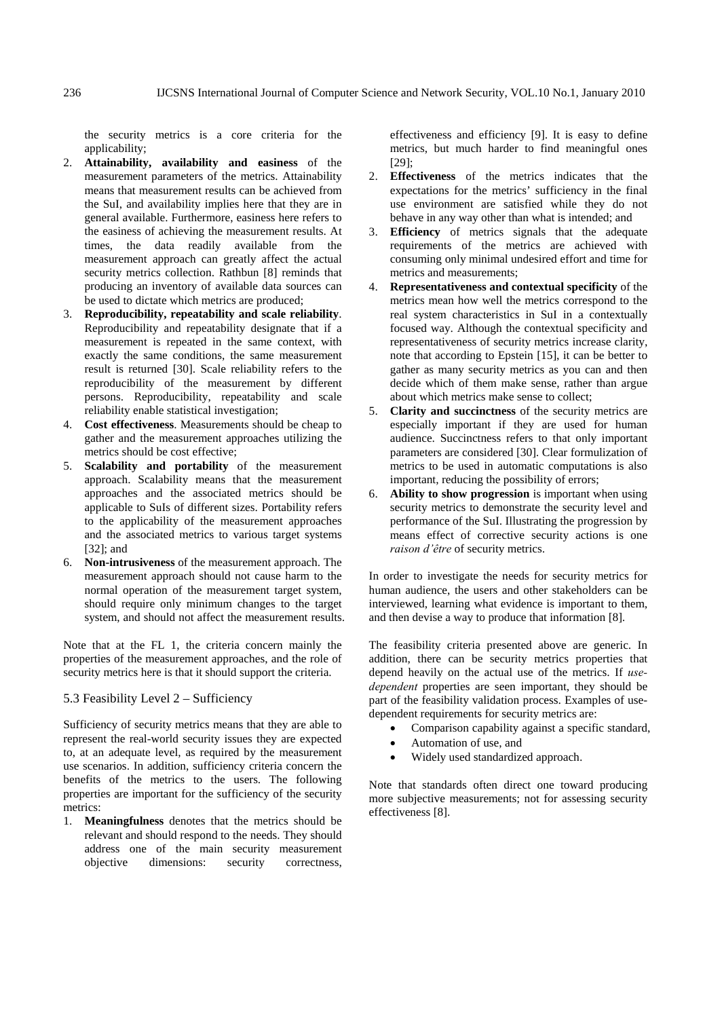the security metrics is a core criteria for the applicability:

- 2. **Attainability, availability and easiness** of the measurement parameters of the metrics. Attainability means that measurement results can be achieved from the SuI, and availability implies here that they are in general available. Furthermore, easiness here refers to the easiness of achieving the measurement results. At times, the data readily available from the measurement approach can greatly affect the actual security metrics collection. Rathbun [8] reminds that producing an inventory of available data sources can be used to dictate which metrics are produced;
- 3. **Reproducibility, repeatability and scale reliability**. Reproducibility and repeatability designate that if a measurement is repeated in the same context, with exactly the same conditions, the same measurement result is returned [30]. Scale reliability refers to the reproducibility of the measurement by different persons. Reproducibility, repeatability and scale reliability enable statistical investigation;
- 4. **Cost effectiveness**. Measurements should be cheap to gather and the measurement approaches utilizing the metrics should be cost effective;
- 5. **Scalability and portability** of the measurement approach. Scalability means that the measurement approaches and the associated metrics should be applicable to SuIs of different sizes. Portability refers to the applicability of the measurement approaches and the associated metrics to various target systems [32]; and
- 6. **Non-intrusiveness** of the measurement approach. The measurement approach should not cause harm to the normal operation of the measurement target system, should require only minimum changes to the target system, and should not affect the measurement results.

Note that at the FL 1, the criteria concern mainly the properties of the measurement approaches, and the role of security metrics here is that it should support the criteria.

# 5.3 Feasibility Level 2 – Sufficiency

Sufficiency of security metrics means that they are able to represent the real-world security issues they are expected to, at an adequate level, as required by the measurement use scenarios. In addition, sufficiency criteria concern the benefits of the metrics to the users. The following properties are important for the sufficiency of the security metrics:

1. **Meaningfulness** denotes that the metrics should be relevant and should respond to the needs. They should address one of the main security measurement objective dimensions: security correctness,

effectiveness and efficiency [9]. It is easy to define metrics, but much harder to find meaningful ones  $[29]$ :

- 2. **Effectiveness** of the metrics indicates that the expectations for the metrics' sufficiency in the final use environment are satisfied while they do not behave in any way other than what is intended; and
- 3. **Efficiency** of metrics signals that the adequate requirements of the metrics are achieved with consuming only minimal undesired effort and time for metrics and measurements;
- 4. **Representativeness and contextual specificity** of the metrics mean how well the metrics correspond to the real system characteristics in SuI in a contextually focused way. Although the contextual specificity and representativeness of security metrics increase clarity, note that according to Epstein [15], it can be better to gather as many security metrics as you can and then decide which of them make sense, rather than argue about which metrics make sense to collect;
- 5. **Clarity and succinctness** of the security metrics are especially important if they are used for human audience. Succinctness refers to that only important parameters are considered [30]. Clear formulization of metrics to be used in automatic computations is also important, reducing the possibility of errors;
- 6. **Ability to show progression** is important when using security metrics to demonstrate the security level and performance of the SuI. Illustrating the progression by means effect of corrective security actions is one *raison d'être* of security metrics.

In order to investigate the needs for security metrics for human audience, the users and other stakeholders can be interviewed, learning what evidence is important to them, and then devise a way to produce that information [8].

The feasibility criteria presented above are generic. In addition, there can be security metrics properties that depend heavily on the actual use of the metrics. If *usedependent* properties are seen important, they should be part of the feasibility validation process. Examples of usedependent requirements for security metrics are:

- Comparison capability against a specific standard,
- Automation of use, and
- Widely used standardized approach.

Note that standards often direct one toward producing more subjective measurements; not for assessing security effectiveness [8].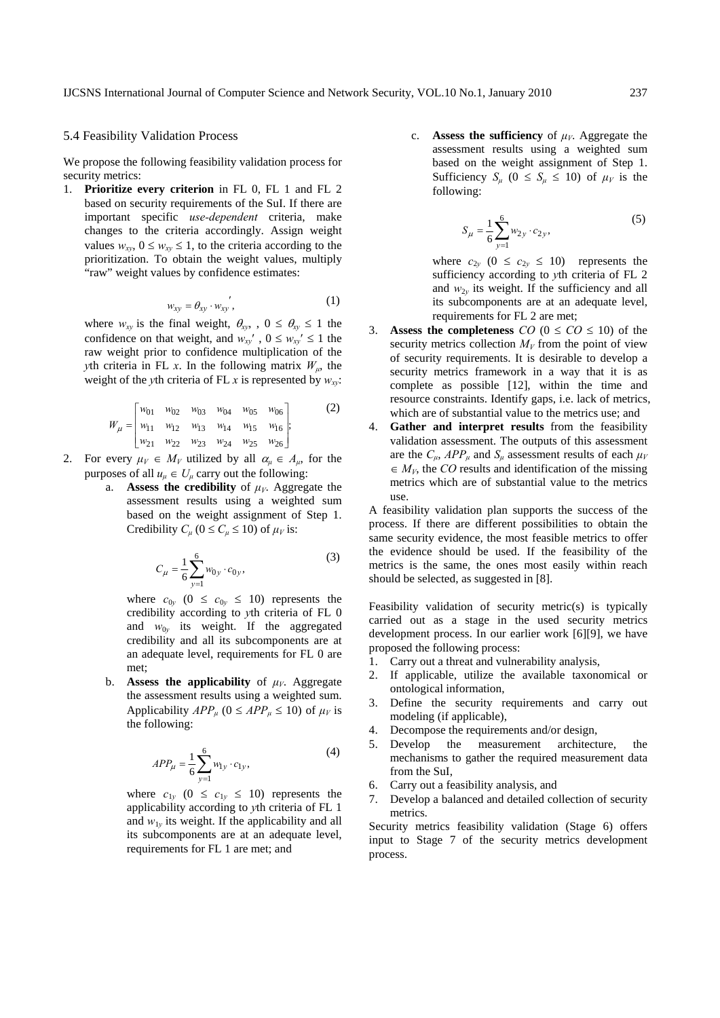#### 5.4 Feasibility Validation Process

We propose the following feasibility validation process for security metrics:

1. **Prioritize every criterion** in FL 0, FL 1 and FL 2 based on security requirements of the SuI. If there are important specific *use-dependent* criteria, make changes to the criteria accordingly. Assign weight values  $w_{xy}$ ,  $0 \leq w_{xy} \leq 1$ , to the criteria according to the prioritization. To obtain the weight values, multiply "raw" weight values by confidence estimates:

$$
w_{xy} = \theta_{xy} \cdot w_{xy}^{\prime}, \qquad (1)
$$

where  $w_{xy}$  is the final weight,  $\theta_{xy}$ ,  $0 \le \theta_{xy} \le 1$  the confidence on that weight, and  $w_{xy}$ <sup>'</sup>,  $0 \leq w_{xy}$ <sup>'</sup>  $\leq 1$  the raw weight prior to confidence multiplication of the *y*<sup>th</sup> criteria in FL *x*. In the following matrix  $W_{\mu}$ , the weight of the *y*th criteria of FL *x* is represented by  $w_{xy}$ :

$$
W_{\mu} = \begin{bmatrix} w_{01} & w_{02} & w_{03} & w_{04} & w_{05} & w_{06} \\ w_{11} & w_{12} & w_{13} & w_{14} & w_{15} & w_{16} \\ w_{21} & w_{22} & w_{23} & w_{24} & w_{25} & w_{26} \end{bmatrix};
$$
 (2)

- 2. For every  $\mu_V \in M_V$  utilized by all  $\alpha_u \in A_u$ , for the purposes of all  $u_{\mu} \in U_{\mu}$  carry out the following:
	- a. **Assess the credibility** of  $\mu_V$ . Aggregate the assessment results using a weighted sum based on the weight assignment of Step 1. Credibility  $C_\mu$  ( $0 \le C_\mu \le 10$ ) of  $\mu_V$  is:

$$
C_{\mu} = \frac{1}{6} \sum_{y=1}^{6} w_{0y} \cdot c_{0y},
$$
 (3)

where  $c_{0y}$  ( $0 \le c_{0y} \le 10$ ) represents the credibility according to *y*th criteria of FL 0 and  $w_{0y}$  its weight. If the aggregated credibility and all its subcomponents are at an adequate level, requirements for FL 0 are met;

b. **Assess the applicability** of  $\mu_V$ . Aggregate the assessment results using a weighted sum. Applicability  $APP_\mu$  ( $0 \leq APP_\mu \leq 10$ ) of  $\mu_V$  is the following:

$$
APP_{\mu} = \frac{1}{6} \sum_{y=1}^{6} w_{1y} \cdot c_{1y},
$$
 (4)

where  $c_{1y}$  (0  $\leq c_{1y} \leq 10$ ) represents the applicability according to *y*th criteria of FL 1 and  $w_{1v}$  its weight. If the applicability and all its subcomponents are at an adequate level, requirements for FL 1 are met; and

c. **Assess the sufficiency** of *μV*. Aggregate the assessment results using a weighted sum based on the weight assignment of Step 1. Sufficiency  $S_\mu$  ( $0 \leq S_\mu \leq 10$ ) of  $\mu_V$  is the following:

$$
S_{\mu} = \frac{1}{6} \sum_{y=1}^{6} w_{2y} \cdot c_{2y},
$$
 (5)

where  $c_{2y}$  ( $0 \le c_{2y} \le 10$ ) represents the sufficiency according to *y*th criteria of FL 2 and  $w_{2y}$  its weight. If the sufficiency and all its subcomponents are at an adequate level, requirements for FL 2 are met;

- **Assess the completeness**  $CO$  ( $0 \le CO \le 10$ ) of the security metrics collection  $M_V$  from the point of view of security requirements. It is desirable to develop a security metrics framework in a way that it is as complete as possible [12], within the time and resource constraints. Identify gaps, i.e. lack of metrics, which are of substantial value to the metrics use; and
- 4. **Gather and interpret results** from the feasibility validation assessment. The outputs of this assessment are the  $C_{\mu}$ ,  $APP_{\mu}$  and  $S_{\mu}$  assessment results of each  $\mu_V$  $\in$  *M<sub>V</sub>*, the *CO* results and identification of the missing metrics which are of substantial value to the metrics use.

A feasibility validation plan supports the success of the process. If there are different possibilities to obtain the same security evidence, the most feasible metrics to offer the evidence should be used. If the feasibility of the metrics is the same, the ones most easily within reach should be selected, as suggested in [8].

Feasibility validation of security metric(s) is typically carried out as a stage in the used security metrics development process. In our earlier work [6][9], we have proposed the following process:

- 1. Carry out a threat and vulnerability analysis,
- 2. If applicable, utilize the available taxonomical or ontological information,
- 3. Define the security requirements and carry out modeling (if applicable),
- 4. Decompose the requirements and/or design,
- 5. Develop the measurement architecture, the mechanisms to gather the required measurement data from the SuI,
- 6. Carry out a feasibility analysis, and
- 7. Develop a balanced and detailed collection of security metrics.

Security metrics feasibility validation (Stage 6) offers input to Stage 7 of the security metrics development process.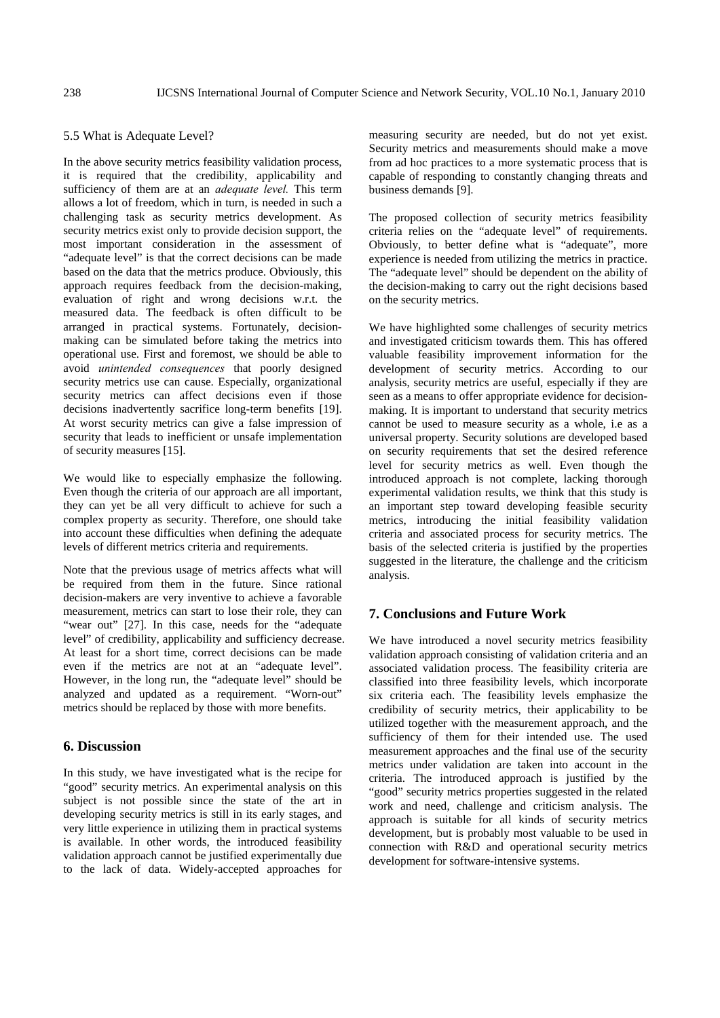#### 5.5 What is Adequate Level?

In the above security metrics feasibility validation process, it is required that the credibility, applicability and sufficiency of them are at an *adequate level.* This term allows a lot of freedom, which in turn, is needed in such a challenging task as security metrics development. As security metrics exist only to provide decision support, the most important consideration in the assessment of "adequate level" is that the correct decisions can be made based on the data that the metrics produce. Obviously, this approach requires feedback from the decision-making, evaluation of right and wrong decisions w.r.t. the measured data. The feedback is often difficult to be arranged in practical systems. Fortunately, decisionmaking can be simulated before taking the metrics into operational use. First and foremost, we should be able to avoid *unintended consequences* that poorly designed security metrics use can cause. Especially, organizational security metrics can affect decisions even if those decisions inadvertently sacrifice long-term benefits [19]. At worst security metrics can give a false impression of security that leads to inefficient or unsafe implementation of security measures [15].

We would like to especially emphasize the following. Even though the criteria of our approach are all important, they can yet be all very difficult to achieve for such a complex property as security. Therefore, one should take into account these difficulties when defining the adequate levels of different metrics criteria and requirements.

Note that the previous usage of metrics affects what will be required from them in the future. Since rational decision-makers are very inventive to achieve a favorable measurement, metrics can start to lose their role, they can "wear out" [27]. In this case, needs for the "adequate level" of credibility, applicability and sufficiency decrease. At least for a short time, correct decisions can be made even if the metrics are not at an "adequate level". However, in the long run, the "adequate level" should be analyzed and updated as a requirement. "Worn-out" metrics should be replaced by those with more benefits.

# **6. Discussion**

In this study, we have investigated what is the recipe for "good" security metrics. An experimental analysis on this subject is not possible since the state of the art in developing security metrics is still in its early stages, and very little experience in utilizing them in practical systems is available. In other words, the introduced feasibility validation approach cannot be justified experimentally due to the lack of data. Widely-accepted approaches for measuring security are needed, but do not yet exist. Security metrics and measurements should make a move from ad hoc practices to a more systematic process that is capable of responding to constantly changing threats and business demands [9].

The proposed collection of security metrics feasibility criteria relies on the "adequate level" of requirements. Obviously, to better define what is "adequate", more experience is needed from utilizing the metrics in practice. The "adequate level" should be dependent on the ability of the decision-making to carry out the right decisions based on the security metrics.

We have highlighted some challenges of security metrics and investigated criticism towards them. This has offered valuable feasibility improvement information for the development of security metrics. According to our analysis, security metrics are useful, especially if they are seen as a means to offer appropriate evidence for decisionmaking. It is important to understand that security metrics cannot be used to measure security as a whole, i.e as a universal property. Security solutions are developed based on security requirements that set the desired reference level for security metrics as well. Even though the introduced approach is not complete, lacking thorough experimental validation results, we think that this study is an important step toward developing feasible security metrics, introducing the initial feasibility validation criteria and associated process for security metrics. The basis of the selected criteria is justified by the properties suggested in the literature, the challenge and the criticism analysis.

# **7. Conclusions and Future Work**

We have introduced a novel security metrics feasibility validation approach consisting of validation criteria and an associated validation process. The feasibility criteria are classified into three feasibility levels, which incorporate six criteria each. The feasibility levels emphasize the credibility of security metrics, their applicability to be utilized together with the measurement approach, and the sufficiency of them for their intended use. The used measurement approaches and the final use of the security metrics under validation are taken into account in the criteria. The introduced approach is justified by the "good" security metrics properties suggested in the related work and need, challenge and criticism analysis. The approach is suitable for all kinds of security metrics development, but is probably most valuable to be used in connection with R&D and operational security metrics development for software-intensive systems.